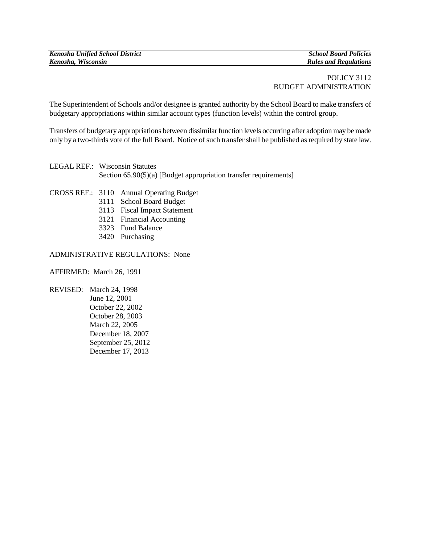## POLICY 3112 BUDGET ADMINISTRATION

The Superintendent of Schools and/or designee is granted authority by the School Board to make transfers of budgetary appropriations within similar account types (function levels) within the control group.

Transfers of budgetary appropriations between dissimilar function levels occurring after adoption may be made only by a two-thirds vote of the full Board. Notice of such transfer shall be published as required by state law.

LEGAL REF.: Wisconsin Statutes Section 65.90(5)(a) [Budget appropriation transfer requirements]

- CROSS REF.: 3110 Annual Operating Budget
	- 3111 School Board Budget
	- 3113 Fiscal Impact Statement
	- 3121 Financial Accounting
	- 3323 Fund Balance
	- 3420 Purchasing

## ADMINISTRATIVE REGULATIONS: None

AFFIRMED: March 26, 1991

REVISED: March 24, 1998 June 12, 2001 October 22, 2002 October 28, 2003 March 22, 2005 December 18, 2007 September 25, 2012 December 17, 2013